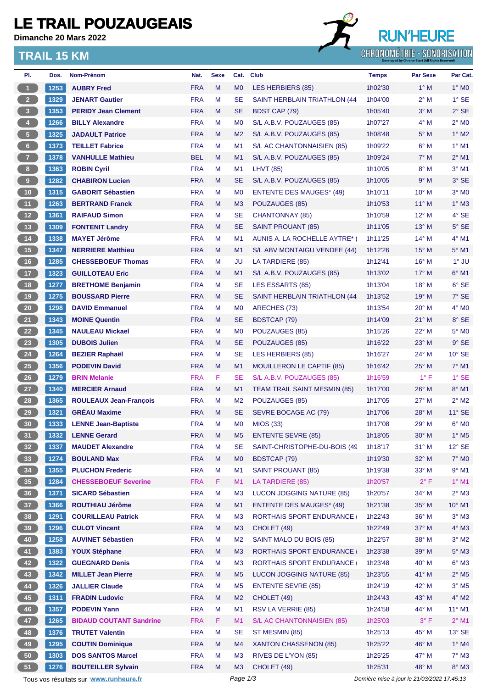# **LE TRAIL POUZAUGEAIS**

**Dimanche 20 Mars 2022**

### **TRAIL 15 KM**



| PI.                                                         | Dos. | Nom-Prénom                             | Nat.       | <b>Sexe</b> | Cat.           | <b>Club</b>                         | <b>Temps</b>                                | <b>Par Sexe</b> | Par Cat.                   |
|-------------------------------------------------------------|------|----------------------------------------|------------|-------------|----------------|-------------------------------------|---------------------------------------------|-----------------|----------------------------|
| $\overline{1}$                                              | 1253 | <b>AUBRY Fred</b>                      | <b>FRA</b> | M           | M <sub>0</sub> | LES HERBIERS (85)                   | 1h02'30                                     | $1^\circ$ M     | $1^\circ$ MO               |
| $\overline{2}$                                              | 1329 | <b>JENART Gautier</b>                  | <b>FRA</b> | M           | <b>SE</b>      | SAINT HERBLAIN TRIATHLON (44)       | 1h04'00                                     | $2^{\circ}$ M   | $1^\circ$ SE               |
| $\overline{\mathbf{3}}$                                     | 1353 | <b>PERIDY Jean Clement</b>             | <b>FRA</b> | M           | <b>SE</b>      | BDST CAP (79)                       | 1h05'40                                     | $3^\circ$ M     | $2°$ SE                    |
| $\overline{4}$                                              | 1266 | <b>BILLY Alexandre</b>                 | <b>FRA</b> | M           | M <sub>0</sub> | S/L A.B.V. POUZAUGES (85)           | 1h07'27                                     | $4^\circ$ M     | $2^\circ$ MO               |
| $\sqrt{5}$                                                  | 1325 | <b>JADAULT Patrice</b>                 | <b>FRA</b> | M           | M <sub>2</sub> | S/L A.B.V. POUZAUGES (85)           | 1h08'48                                     | $5^\circ$ M     | $1^\circ$ M2               |
| $\,$ 6 $\,$                                                 | 1373 | <b>TEILLET Fabrice</b>                 | <b>FRA</b> | М           | M <sub>1</sub> | S/L AC CHANTONNAISIEN (85)          | 1h09'22                                     | $6^\circ$ M     | $1^\circ$ M1               |
| $\overline{7}$                                              | 1378 | <b>VANHULLE Mathieu</b>                | <b>BEL</b> | M           | M1             | S/L A.B.V. POUZAUGES (85)           | 1h09'24                                     | $7^\circ$ M     | $2^{\circ}$ M1             |
| 8 <sup>1</sup>                                              | 1363 | <b>ROBIN Cyril</b>                     | <b>FRA</b> | M           | M1             | <b>LHVT (85)</b>                    | 1h10'05                                     | $8^\circ$ M     | $3°$ M1                    |
| $\overline{\mathbf{9}}$                                     | 1282 | <b>CHABIRON Lucien</b>                 | <b>FRA</b> | M           | <b>SE</b>      | S/L A.B.V. POUZAUGES (85)           | 1h10'05                                     | 9° M            | $3°$ SE                    |
| 10                                                          | 1315 | <b>GABORIT Sébastien</b>               | <b>FRA</b> | M           | M <sub>0</sub> | <b>ENTENTE DES MAUGES* (49)</b>     | 1h10'11                                     | 10° M           | $3°$ MO                    |
| 11 <sub>1</sub>                                             | 1263 | <b>BERTRAND Franck</b>                 | <b>FRA</b> | M           | M <sub>3</sub> | POUZAUGES (85)                      | 1h10'53                                     | $11^{\circ}$ M  | $1^\circ$ M3               |
| 12                                                          | 1361 | <b>RAIFAUD Simon</b>                   | <b>FRA</b> | М           | <b>SE</b>      | <b>CHANTONNAY (85)</b>              | 1h10'59                                     | 12° M           | 4° SE                      |
| $\begin{array}{c} \begin{array}{c} \end{array} \end{array}$ | 1309 | <b>FONTENIT Landry</b>                 | <b>FRA</b> | M           | <b>SE</b>      | <b>SAINT PROUANT (85)</b>           | 1h11'05                                     | $13°$ M         | $5^\circ$ SE               |
| 14                                                          | 1338 | <b>MAYET Jérôme</b>                    | <b>FRA</b> | M           | M1             | AUNIS A. LA ROCHELLE AYTRE* (       | 1h11'25                                     | $14^{\circ}$ M  | $4^\circ$ M1               |
| 15                                                          | 1347 | <b>NERRIERE Matthieu</b>               | <b>FRA</b> | M           | M1             | S/L ABV MONTAIGU VENDEE (44)        | 1h12'26                                     | $15^{\circ}$ M  | $5^\circ$ M1               |
| 16                                                          | 1285 | <b>CHESSEBOEUF Thomas</b>              | <b>FRA</b> | м           | JU             | LA TARDIERE (85)                    | 1h12'41                                     | 16° M           | $1^\circ$ JU               |
| 17                                                          | 1323 | <b>GUILLOTEAU Eric</b>                 | <b>FRA</b> | M           | M1             | S/L A.B.V. POUZAUGES (85)           | 1h13'02                                     | $17^\circ$ M    | $6°$ M1                    |
| 18                                                          | 1277 | <b>BRETHOME Benjamin</b>               | <b>FRA</b> | M           | <b>SE</b>      | <b>LES ESSARTS (85)</b>             | 1h13'04                                     | 18° M           | 6° SE                      |
| 19                                                          | 1275 | <b>BOUSSARD Pierre</b>                 | <b>FRA</b> | M           | <b>SE</b>      | SAINT HERBLAIN TRIATHLON (44        | 1h13'52                                     | 19° M           | $7^\circ$ SE               |
| 20                                                          | 1298 | <b>DAVID Emmanuel</b>                  | <b>FRA</b> | м           | M <sub>0</sub> | ARECHES (73)                        | 1h13'54                                     | $20^{\circ}$ M  | $4^\circ$ MO               |
| 21                                                          | 1343 | <b>MOINE Quentin</b>                   | <b>FRA</b> | M           | <b>SE</b>      | <b>BDSTCAP (79)</b>                 | 1h14'09                                     | $21^{\circ}$ M  | 8° SE                      |
| 22                                                          | 1345 | <b>NAULEAU Mickael</b>                 | <b>FRA</b> | м           | M <sub>0</sub> | POUZAUGES (85)                      | 1h15'26                                     | $22^{\circ}$ M  | $5^\circ$ MO               |
| 23                                                          | 1305 | <b>DUBOIS Julien</b>                   | <b>FRA</b> | M           | <b>SE</b>      | POUZAUGES (85)                      | 1h16'22                                     | $23^\circ$ M    | $9°$ SE                    |
| 24                                                          | 1264 | <b>BEZIER Raphaël</b>                  | <b>FRA</b> | M           | SE             | <b>LES HERBIERS (85)</b>            | 1h16'27                                     | 24° M           | $10^{\circ}$ SE            |
| 25                                                          | 1356 | <b>PODEVIN David</b>                   | <b>FRA</b> | M           | M1             | MOUILLERON LE CAPTIF (85)           | 1h16'42                                     | 25° M           | $7°$ M1                    |
| 26                                                          | 1279 | <b>BRIN Melanie</b>                    | <b>FRA</b> | F.          | SE             | S/L A.B.V. POUZAUGES (85)           | 1h16'59                                     | $1^{\circ}$ F   | $1^\circ$ SE               |
| 27                                                          | 1340 | <b>MERCIER Arnaud</b>                  | <b>FRA</b> | M           | M1             | <b>TEAM TRAIL SAINT MESMIN (85)</b> | 1h17'00                                     | $26^{\circ}$ M  | 8° M1                      |
| 28                                                          | 1365 | <b>ROULEAUX Jean-François</b>          | <b>FRA</b> | М           | M <sub>2</sub> | POUZAUGES (85)                      | 1h17'05                                     | $27^\circ$ M    | $2^{\circ}$ M2             |
| 29                                                          | 1321 | <b>GREAU Maxime</b>                    | <b>FRA</b> | M           | <b>SE</b>      | SEVRE BOCAGE AC (79)                | 1h17'06                                     | 28° M           | $11^{\circ}$ SE            |
| 30                                                          | 1333 | <b>LENNE Jean-Baptiste</b>             | <b>FRA</b> | M           | M <sub>0</sub> | <b>MIOS (33)</b>                    | 1h17'08                                     | $29^{\circ}$ M  | $6^\circ$ MO               |
| 31                                                          | 1332 | <b>LENNE Gerard</b>                    | <b>FRA</b> | M           | M <sub>5</sub> | <b>ENTENTE SEVRE (85)</b>           | 1h18'05                                     | 30° M           | $1^\circ$ M5               |
| 32 <sub>2</sub>                                             | 1337 | <b>MAUDET Alexandre</b>                | <b>FRA</b> | M           | <b>SE</b>      | SAINT-CHRISTOPHE-DU-BOIS (49        | 1h18'17                                     | 31° M           | $12^{\circ}$ SE            |
| 33 <sup>°</sup>                                             | 1274 | <b>BOULAND Max</b>                     | <b>FRA</b> | M           | M <sub>0</sub> | <b>BDSTCAP (79)</b>                 | 1h19'30                                     | 32° M           | $7^\circ$ MO               |
| 34                                                          | 1355 | <b>PLUCHON Frederic</b>                | <b>FRA</b> | M           | M1             | <b>SAINT PROUANT (85)</b>           | 1h19'38                                     | 33° M           | $9°$ M1                    |
| 35                                                          | 1284 | <b>CHESSEBOEUF Severine</b>            | <b>FRA</b> | F.          | M1             | LA TARDIERE (85)                    | 1h20'57                                     | $2^{\circ}$ F   | $1^\circ$ M1               |
| 36                                                          | 1371 | <b>SICARD Sébastien</b>                | <b>FRA</b> | M           | M <sub>3</sub> | LUCON JOGGING NATURE (85)           | 1h20'57                                     | 34° M           | $2^{\circ}$ M3             |
| 37 <sup>°</sup>                                             | 1366 | <b>ROUTHIAU Jérôme</b>                 | <b>FRA</b> | M           | M1             | <b>ENTENTE DES MAUGES* (49)</b>     | 1h21'38                                     | 35° M           | 10° M1                     |
| 38                                                          | 1291 | <b>COURILLEAU Patrick</b>              | <b>FRA</b> | M           | M <sub>3</sub> | <b>RORTHAIS SPORT ENDURANCE (</b>   | 1h22'43                                     | 36° M           | $3^\circ$ M3               |
| 39                                                          | 1296 | <b>CULOT Vincent</b>                   | <b>FRA</b> | M           | M <sub>3</sub> | CHOLET (49)                         | 1h22'49                                     | 37° M           | $4^\circ$ M3               |
| 40                                                          | 1258 | <b>AUVINET Sébastien</b>               | <b>FRA</b> | M           | M <sub>2</sub> | SAINT MALO DU BOIS (85)             | 1h22'57                                     | 38° M           | $3^\circ$ M2               |
| 41                                                          | 1383 | <b>YOUX Stéphane</b>                   | <b>FRA</b> | M           | M3             | <b>RORTHAIS SPORT ENDURANCE</b>     | 1h23'38                                     | 39° M           | $5^\circ$ M3               |
| 42                                                          | 1322 | <b>GUEGNARD Denis</b>                  | <b>FRA</b> | M           | M <sub>3</sub> | <b>RORTHAIS SPORT ENDURANCE (</b>   | 1h23'48                                     | 40° M           | $6^\circ$ M3               |
| 43                                                          | 1342 | <b>MILLET Jean Pierre</b>              | <b>FRA</b> | M           | M <sub>5</sub> | LUCON JOGGING NATURE (85)           | 1h23'55                                     | 41° M           | $2^{\circ}$ M <sub>5</sub> |
| 44                                                          | 1326 | <b>JALLIER Claude</b>                  | <b>FRA</b> | M           | M <sub>5</sub> | <b>ENTENTE SEVRE (85)</b>           | 1h24'19                                     | 42° M           | $3^\circ$ M <sub>5</sub>   |
| 45                                                          | 1311 | <b>FRADIN Ludovic</b>                  | <b>FRA</b> | M           | M <sub>2</sub> | CHOLET (49)                         | 1h24'43                                     | 43° M           | 4° M2                      |
| 46                                                          | 1357 | <b>PODEVIN Yann</b>                    | <b>FRA</b> | M           | M1             | <b>RSV LA VERRIE (85)</b>           | 1h24'58                                     | 44° M           | $11^{\circ}$ M1            |
| 47                                                          | 1265 | <b>BIDAUD COUTANT Sandrine</b>         | <b>FRA</b> | F.          | M1             | S/L AC CHANTONNAISIEN (85)          | 1h25'03                                     | $3^{\circ}$ F   | $2^{\circ}$ M1             |
| 48                                                          | 1376 | <b>TRUTET Valentin</b>                 | <b>FRA</b> | M           | <b>SE</b>      | ST MESMIN (85)                      | 1h25'13                                     | 45° M           | $13^\circ$ SE              |
| 49                                                          | 1295 | <b>COUTIN Dominique</b>                | <b>FRA</b> | M           | M4             | XANTON CHASSENON (85)               | 1h25'22                                     | 46° M           | $1^\circ$ M4               |
| 50                                                          | 1303 | <b>DOS SANTOS Marcel</b>               | <b>FRA</b> | M           | M <sub>3</sub> | RIVES DE L'YON (85)                 | 1h25'25                                     | 47° M           | $7^\circ$ M3               |
| 51                                                          | 1276 | <b>BOUTEILLER Sylvain</b>              | <b>FRA</b> | M           | M3             | CHOLET (49)                         | 1h25'31                                     | 48° M           | 8° M3                      |
|                                                             |      | Tous vos résultats sur www.runheure.fr |            |             | Page 1/3       |                                     | Dernière mise à jour le 21/03/2022 17:45:13 |                 |                            |
|                                                             |      |                                        |            |             |                |                                     |                                             |                 |                            |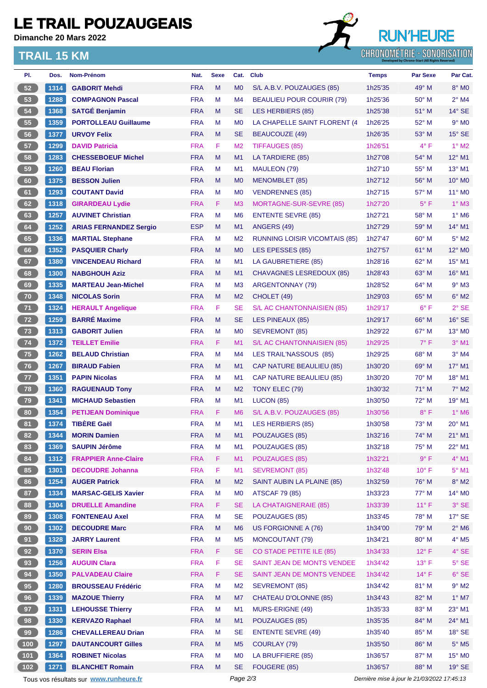# **LE TRAIL POUZAUGEAIS**

**Dimanche 20 Mars 2022**

### **TRAIL 15 KM**



| PI.   | Dos. | Nom-Prénom                                  | Nat.       | <b>Sexe</b> | Cat.           | <b>Club</b>                          | <b>Temps</b>                                | <b>Par Sexe</b> | Par Cat.                    |  |
|-------|------|---------------------------------------------|------------|-------------|----------------|--------------------------------------|---------------------------------------------|-----------------|-----------------------------|--|
| 52    | 1314 | <b>GABORIT Mehdi</b>                        | <b>FRA</b> | M           | M <sub>0</sub> | S/L A.B.V. POUZAUGES (85)            | 1h25'35                                     | 49° M           | $8^\circ$ MO                |  |
| 53    | 1288 | <b>COMPAGNON Pascal</b>                     | <b>FRA</b> | M           | M4             | <b>BEAULIEU POUR COURIR (79)</b>     | 1h25'36                                     | $50^\circ$ M    | $2^{\circ}$ M4              |  |
| 54    | 1368 | <b>SATGÉ Benjamin</b>                       | <b>FRA</b> | M           | <b>SE</b>      | <b>LES HERBIERS (85)</b>             | 1h25'38                                     | $51^\circ$ M    | $14^{\circ}$ SE             |  |
| 55    | 1359 | <b>PORTOLLEAU Guillaume</b>                 | <b>FRA</b> | M           | M <sub>0</sub> | LA CHAPELLE SAINT FLORENT (4         | 1h26'25                                     | $52^{\circ}$ M  | $9°$ MO                     |  |
| 56    | 1377 | <b>URVOY Felix</b>                          | <b>FRA</b> | M           | <b>SE</b>      | <b>BEAUCOUZE (49)</b>                | 1h26'35                                     | $53^\circ$ M    | $15^\circ$ SE               |  |
| 57    | 1299 | <b>DAVID Patricia</b>                       | <b>FRA</b> | F.          | M <sub>2</sub> | <b>TIFFAUGES (85)</b>                | 1h26'51                                     | $4^{\circ}$ F   | $1^\circ$ M2                |  |
| 58    | 1283 | <b>CHESSEBOEUF Michel</b>                   | <b>FRA</b> | M           | M1             | LA TARDIERE (85)                     | 1h27'08                                     | 54° M           | 12° M1                      |  |
| 59    | 1260 | <b>BEAU Florian</b>                         | <b>FRA</b> | M           | M1             | MAULEON (79)                         | 1h27'10                                     | $55^{\circ}$ M  | $13^{\circ}$ M1             |  |
| 60    | 1375 | <b>BESSON Julien</b>                        | <b>FRA</b> | M           | M <sub>0</sub> | MENOMBLET (85)                       | 1h27'12                                     | $56^{\circ}$ M  | $10^{\circ}$ M <sub>0</sub> |  |
| 61    | 1293 | <b>COUTANT David</b>                        | <b>FRA</b> | M           | M <sub>0</sub> | <b>VENDRENNES (85)</b>               | 1h27'15                                     | $57^\circ$ M    | 11° M0                      |  |
| 62    | 1318 | <b>GIRARDEAU Lydie</b>                      | <b>FRA</b> | F.          | M <sub>3</sub> | MORTAGNE-SUR-SEVRE (85)              | 1h27'20                                     | $5^{\circ}$ F   | $1^\circ$ M3                |  |
| 63    | 1257 | <b>AUVINET Christian</b>                    | <b>FRA</b> | М           | M <sub>6</sub> | <b>ENTENTE SEVRE (85)</b>            | 1h27'21                                     | 58° M           | $1^\circ$ M <sub>6</sub>    |  |
| 64    | 1252 | <b>ARIAS FERNANDEZ Sergio</b>               | <b>ESP</b> | M           | M1             | ANGERS (49)                          | 1h27'29                                     | 59° M           | $14^{\circ}$ M1             |  |
| 65    | 1336 | <b>MARTIAL Stephane</b>                     | <b>FRA</b> | M           | M <sub>2</sub> | <b>RUNNING LOISIR VICOMTAIS (85)</b> | 1h27'47                                     | $60^\circ$ M    | $5^\circ$ M2                |  |
| 66    | 1352 | <b>PASQUIER Charly</b>                      | <b>FRA</b> | M           | M <sub>0</sub> | LES EPESSES (85)                     | 1h27'57                                     | $61^\circ$ M    | 12° M <sub>0</sub>          |  |
| 67    | 1380 | <b>VINCENDEAU Richard</b>                   | <b>FRA</b> | M           | M1             | LA GAUBRETIERE (85)                  | 1h28'16                                     | $62^{\circ}$ M  | 15° M1                      |  |
| 68    | 1300 | <b>NABGHOUH Aziz</b>                        | <b>FRA</b> | M           | M1             | <b>CHAVAGNES LESREDOUX (85)</b>      | 1h28'43                                     | $63^\circ$ M    | $16^{\circ}$ M1             |  |
| 69    | 1335 | <b>MARTEAU Jean-Michel</b>                  | <b>FRA</b> | M           | M <sub>3</sub> | <b>ARGENTONNAY (79)</b>              | 1h28'52                                     | 64° M           | $9°$ M3                     |  |
| 70    | 1348 | <b>NICOLAS Sorin</b>                        | <b>FRA</b> | M           | M <sub>2</sub> | CHOLET (49)                          | 1h29'03                                     | 65° M           | $6^\circ$ M2                |  |
| 71    | 1324 | <b>HERAULT Angelique</b>                    | <b>FRA</b> | F.          | SE             | S/L AC CHANTONNAISIEN (85)           | 1h29'17                                     | $6^{\circ}$ F   | $2°$ SE                     |  |
| 72    | 1259 | <b>BARRÉ Maxime</b>                         | <b>FRA</b> | M           | <b>SE</b>      | LES PINEAUX (85)                     | 1h29'17                                     | $66^{\circ}$ M  | $16°$ SE                    |  |
| 73    | 1313 | <b>GABORIT Julien</b>                       | <b>FRA</b> | M           | M <sub>0</sub> | <b>SEVREMONT (85)</b>                | 1h29'22                                     | $67^\circ$ M    | 13° MO                      |  |
| 74    | 1372 | <b>TEILLET Emilie</b>                       | <b>FRA</b> | F.          | M1             | S/L AC CHANTONNAISIEN (85)           | 1h29'25                                     | $7^\circ$ F     | $3°$ M1                     |  |
| 75    | 1262 | <b>BELAUD Christian</b>                     | <b>FRA</b> | M           | M4             | LES TRAIL'NASSOUS (85)               | 1h29'25                                     | $68^{\circ}$ M  | $3°$ M4                     |  |
| 76    | 1267 | <b>BIRAUD Fabien</b>                        | <b>FRA</b> | M           | M1             | CAP NATURE BEAULIEU (85)             | 1h30'20                                     | 69° M           | $17^{\circ}$ M1             |  |
| 77    | 1351 | <b>PAPIN Nicolas</b>                        | <b>FRA</b> | M           | M1             | <b>CAP NATURE BEAULIEU (85)</b>      | 1h30'20                                     | $70^\circ$ M    | 18° M1                      |  |
| 78    | 1360 | <b>RAGUENAUD Tony</b>                       | <b>FRA</b> | M           | M <sub>2</sub> | TONY ELEC (79)                       | 1h30'32                                     | 71° M           | $7^\circ$ M2                |  |
| 79    | 1341 | <b>MICHAUD Sebastien</b>                    | <b>FRA</b> | M           | M1             | LUCON (85)                           | 1h30'50                                     | 72° M           | 19° M1                      |  |
| 80    | 1354 | <b>PETIJEAN Dominique</b>                   | <b>FRA</b> | F.          | M <sub>6</sub> | S/L A.B.V. POUZAUGES (85)            | 1h30'56                                     | $8^{\circ}$ F   | 1° M6                       |  |
| 81    | 1374 | <b>TIBÈRE Gaël</b>                          | <b>FRA</b> | M           | M <sub>1</sub> | LES HERBIERS (85)                    | 1h30'58                                     | 73° M           | $20^\circ$ M1               |  |
| 82    | 1344 |                                             | <b>FRA</b> | M           | M1             | POUZAUGES (85)                       |                                             | 74° M           | 21° M1                      |  |
| 83    | 1369 | <b>MORIN Damien</b><br><b>SAUPIN Jérôme</b> | <b>FRA</b> | M           | M1             | POUZAUGES (85)                       | 1h32'16<br>1h32'18                          | 75° M           | 22° M1                      |  |
| 84    |      |                                             |            | F.          |                |                                      |                                             | 9° F            |                             |  |
|       | 1312 | <b>FRAPPIER Anne-Claire</b>                 | <b>FRA</b> |             | M1             | POUZAUGES (85)                       | 1h32'21                                     | $10^{\circ}$ F  | $4^\circ$ M1                |  |
| 85    | 1301 | <b>DECOUDRE Johanna</b>                     | <b>FRA</b> | F           | M1             | <b>SEVREMONT (85)</b>                | 1h32'48                                     |                 | $5^\circ$ M1                |  |
| 86    | 1254 | <b>AUGER Patrick</b>                        | <b>FRA</b> | ${\sf M}$   | M <sub>2</sub> | SAINT AUBIN LA PLAINE (85)           | 1h32'59                                     | 76° M           | $8^\circ$ M2                |  |
| 87    | 1334 | <b>MARSAC-GELIS Xavier</b>                  | <b>FRA</b> | M           | M <sub>0</sub> | <b>ATSCAF 79 (85)</b>                | 1h33'23                                     | 77° M           | $14^{\circ}$ MO             |  |
| 88    | 1304 | <b>DRUELLE Amandine</b>                     | <b>FRA</b> | F.          | <b>SE</b>      | LA CHATAIGNERAIE (85)                | 1h33'39                                     | $11^{\circ}$ F  | $3°$ SE                     |  |
| 89    | 1308 | <b>FONTENEAU Axel</b>                       | <b>FRA</b> | M           | <b>SE</b>      | POUZAUGES (85)                       | 1h33'45                                     | 78° M           | $17^\circ$ SE               |  |
| 90    | 1302 | <b>DECOUDRE Marc</b>                        | <b>FRA</b> | M           | M <sub>6</sub> | US FORGIONNE A (76)                  | 1h34'00                                     | 79° M           | $2^\circ$ M6                |  |
| 91    | 1328 | <b>JARRY Laurent</b>                        | <b>FRA</b> | M           | M <sub>5</sub> | <b>MONCOUTANT (79)</b>               | 1h34'21                                     | 80° M           | $4^{\circ}$ M5              |  |
| 92    | 1370 | <b>SERIN Elsa</b>                           | <b>FRA</b> | F.          | <b>SE</b>      | CO STADE PETITE ILE (85)             | 1h34'33                                     | $12^{\circ}$ F  | $4^\circ$ SE                |  |
| 93    | 1256 | <b>AUGUIN Clara</b>                         | <b>FRA</b> | F           | <b>SE</b>      | SAINT JEAN DE MONTS VENDEE           | 1h34'42                                     | 13° F           | $5^\circ$ SE                |  |
| 94    | 1350 | <b>PALVADEAU Claire</b>                     | <b>FRA</b> | F           | <b>SE</b>      | SAINT JEAN DE MONTS VENDEE           | 1h34'42                                     | 14°F            | $6^{\circ}$ SE              |  |
| 95    | 1280 | <b>BROUSSEAU Frédéric</b>                   | <b>FRA</b> | M           | M <sub>2</sub> | SEVREMONT (85)                       | 1h34'42                                     | 81° M           | $9^\circ$ M2                |  |
| 96    | 1339 | <b>MAZOUE Thierry</b>                       | <b>FRA</b> | M           | M7             | <b>CHATEAU D'OLONNE (85)</b>         | 1h34'43                                     | 82° M           | $1^\circ$ M7                |  |
| 97    | 1331 | <b>LEHOUSSE Thierry</b>                     | <b>FRA</b> | M           | M1             | MURS-ERIGNE (49)                     | 1h35'33                                     | 83° M           | 23° M1                      |  |
| 98    | 1330 | <b>KERVAZO Raphael</b>                      | <b>FRA</b> | M           | M1             | POUZAUGES (85)                       | 1h35'35                                     | 84° M           | 24° M1                      |  |
| 99    | 1286 | <b>CHEVALLEREAU Drian</b>                   | <b>FRA</b> | M           | <b>SE</b>      | <b>ENTENTE SEVRE (49)</b>            | 1h35'40                                     | 85° M           | $18^\circ$ SE               |  |
| (100) | 1297 | <b>DAUTANCOURT Gilles</b>                   | <b>FRA</b> | M           | M <sub>5</sub> | COURLAY (79)                         | 1h35'50                                     | 86° M           | $5^\circ$ M5                |  |
| $101$ | 1364 | <b>ROBINET Nicolas</b>                      | <b>FRA</b> | M           | M <sub>0</sub> | LA BRUFFIERE (85)                    | 1h36'57                                     | 87° M           | 15° MO                      |  |
| 102   | 1271 | <b>BLANCHET Romain</b>                      | <b>FRA</b> | M           | <b>SE</b>      | FOUGERE (85)                         | 1h36'57                                     | 88° M           | $19°$ SE                    |  |
|       |      | Tous vos résultats sur www.runheure.fr      |            |             | Page 2/3       |                                      | Dernière mise à jour le 21/03/2022 17:45:13 |                 |                             |  |